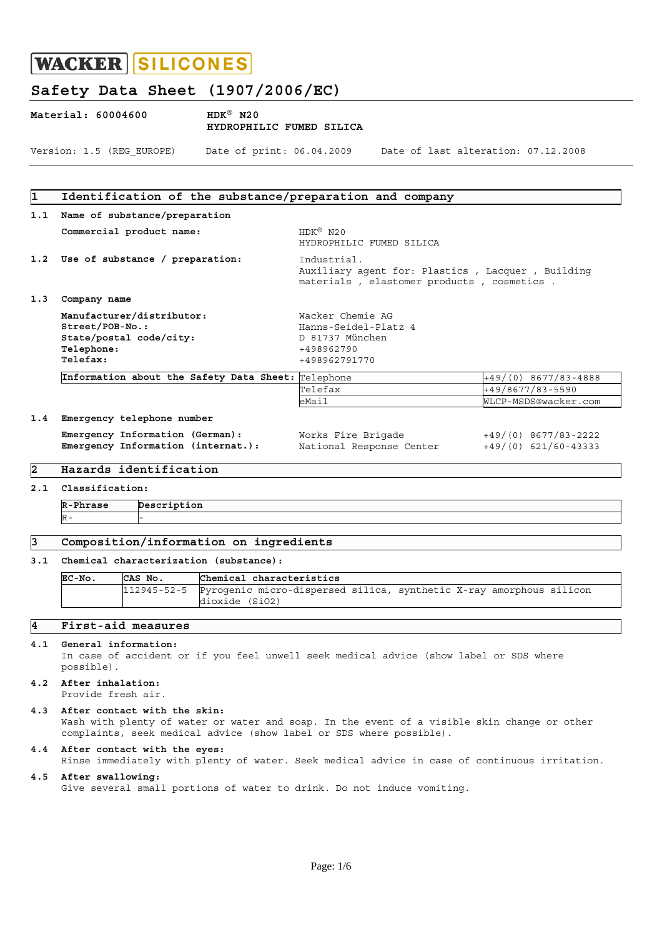# **Safety Data Sheet (1907/2006/EC)**

| Material: 60004600 |                           | $HDK^@$ N20<br>HYDROPHILIC FUMED SILICA |                                     |
|--------------------|---------------------------|-----------------------------------------|-------------------------------------|
|                    | Version: 1.5 (REG EUROPE) | Date of print: 06.04.2009               | Date of last alteration: 07.12.2008 |

# **1 Identification of the substance/preparation and company 1.1 Name of substance/preparation Commercial product name:** HDK<sup>®</sup> N20 HYDROPHILIC FUMED SILICA **1.2 Use of substance / preparation:** Industrial. Auxiliary agent for: Plastics , Lacquer , Building materials , elastomer products , cosmetics . **1.3 Company name Manufacturer/distributor:** Wacker Chemie AG **Street/POB-No.:** Hanns-Seidel-Platz 4 **State/postal code/city:** D 81737 München **Telephone:**  $+498962790$ <br> **Telefax:**  $+498962791$ **Telefax:** +498962791770 Information about the Safety Data Sheet: Telephone +49/(0) 8677/83-4888 Telefax +49/8677/83-5590<br>
eMail MLCP-MSDS@wacker. eMail WLCP-MSDS@wacker.com **1.4 Emergency telephone number Emergency Information (German):** Works Fire Brigade  $+49/(0) 8677/83-2222$ **Emergency Information (internat.):** National Response Center +49/(0) 621/60-43333 **2 Hazards identification 2.1 Classification: R-Phrase Description**   $R-$

# **3 Composition/information on ingredients**

#### **3.1 Chemical characterization (substance):**

| EC-No. | CAS No. | Chemical characteristics                                                        |
|--------|---------|---------------------------------------------------------------------------------|
|        |         | 112945-52-5 Pyrogenic micro-dispersed silica, synthetic X-ray amorphous silicon |
|        |         | dioxide (SiO2)                                                                  |

# **4 First-aid measures**

#### **4.1 General information:**

 In case of accident or if you feel unwell seek medical advice (show label or SDS where possible).

#### **4.2 After inhalation:**  Provide fresh air.

- **4.3 After contact with the skin:**  Wash with plenty of water or water and soap. In the event of a visible skin change or other complaints, seek medical advice (show label or SDS where possible).
- **4.4 After contact with the eyes:**  Rinse immediately with plenty of water. Seek medical advice in case of continuous irritation.

#### **4.5 After swallowing:**  Give several small portions of water to drink. Do not induce vomiting.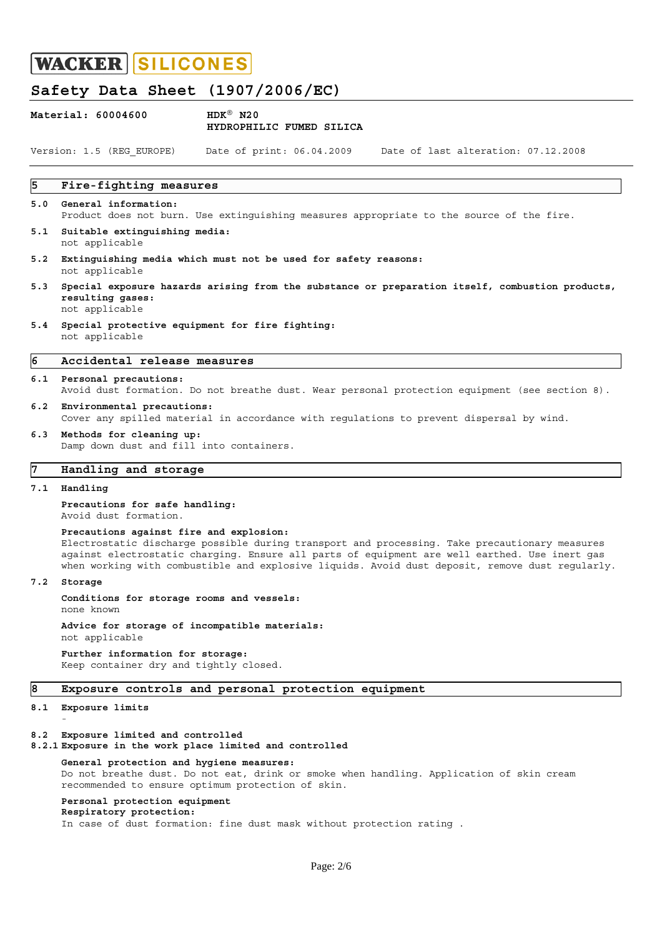# **Safety Data Sheet (1907/2006/EC)**

|                | Material: 60004600                                                                                                                    | $HDK^{\circledR}$ N20<br>HYDROPHILIC FUMED SILICA                                                                                                                                              |  |  |  |  |
|----------------|---------------------------------------------------------------------------------------------------------------------------------------|------------------------------------------------------------------------------------------------------------------------------------------------------------------------------------------------|--|--|--|--|
|                | Version: 1.5 (REG EUROPE)                                                                                                             | Date of print: 06.04.2009<br>Date of last alteration: 07.12.2008                                                                                                                               |  |  |  |  |
| 5              | Fire-fighting measures                                                                                                                |                                                                                                                                                                                                |  |  |  |  |
| 5.0            | General information:                                                                                                                  | Product does not burn. Use extinquishing measures appropriate to the source of the fire.                                                                                                       |  |  |  |  |
| 5.1            | Suitable extinguishing media:<br>not applicable                                                                                       |                                                                                                                                                                                                |  |  |  |  |
| 5.2            | Extinguishing media which must not be used for safety reasons:<br>not applicable                                                      |                                                                                                                                                                                                |  |  |  |  |
| 5.3            | Special exposure hazards arising from the substance or preparation itself, combustion products,<br>resulting gases:<br>not applicable |                                                                                                                                                                                                |  |  |  |  |
| 5.4            | not applicable                                                                                                                        | Special protective equipment for fire fighting:                                                                                                                                                |  |  |  |  |
| $\overline{6}$ | Accidental release measures                                                                                                           |                                                                                                                                                                                                |  |  |  |  |
|                | 6.1 Personal precautions:                                                                                                             | Avoid dust formation. Do not breathe dust. Wear personal protection equipment (see section 8).                                                                                                 |  |  |  |  |
| 6.2            | Environmental precautions:                                                                                                            | Cover any spilled material in accordance with regulations to prevent dispersal by wind.                                                                                                        |  |  |  |  |
| 6.3            | Methods for cleaning up:<br>Damp down dust and fill into containers.                                                                  |                                                                                                                                                                                                |  |  |  |  |
| 7              | Handling and storage                                                                                                                  |                                                                                                                                                                                                |  |  |  |  |
| 7.1            | Handling                                                                                                                              |                                                                                                                                                                                                |  |  |  |  |
|                | Precautions for safe handling:<br>Avoid dust formation.                                                                               |                                                                                                                                                                                                |  |  |  |  |
|                | Precautions against fire and explosion:                                                                                               | Electrostatic discharge possible during transport and processing. Take precautionary measures<br>against electrostatic charging. Ensure all parts of equipment are well earthed. Use inert gas |  |  |  |  |

when working with combustible and explosive liquids. Avoid dust deposit, remove dust regularly.

**7.2 Storage** 

**Conditions for storage rooms and vessels:** none known

**Advice for storage of incompatible materials:** not applicable

**Further information for storage:** Keep container dry and tightly closed.

## **8 Exposure controls and personal protection equipment**

### **8.1 Exposure limits** -

**8.2 Exposure limited and controlled** 

**8.2.1 Exposure in the work place limited and controlled** 

# **General protection and hygiene measures:** Do not breathe dust. Do not eat, drink or smoke when handling. Application of skin cream recommended to ensure optimum protection of skin.

# **Personal protection equipment**

**Respiratory protection:**

In case of dust formation: fine dust mask without protection rating .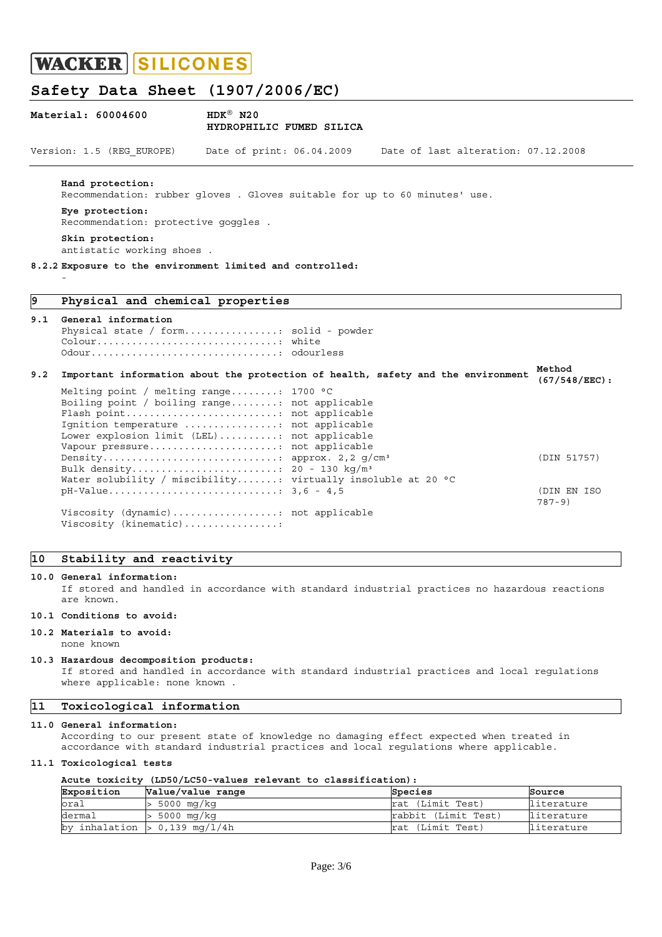# **Safety Data Sheet (1907/2006/EC)**

| Material: 60004600        | $HDK^{\circledR}$ N20<br>HYDROPHILIC FUMED SILICA |                                     |
|---------------------------|---------------------------------------------------|-------------------------------------|
| Version: 1.5 (REG EUROPE) | Date of print: 06.04.2009                         | Date of last alteration: 07.12.2008 |
|                           |                                                   |                                     |

**Hand protection:**

Recommendation: rubber gloves . Gloves suitable for up to 60 minutes' use.

#### **Eye protection:**

Recommendation: protective goggles .

**Skin protection:** antistatic working shoes .

**8.2.2 Exposure to the environment limited and controlled:**

# **9 Physical and chemical properties**

#### **9.1 General information**

 $\sim$  -  $\sim$   $-$ 

```
Physical state / form.................. solid - powder
 Colour...............................: white
 Odour................................: odourless
```
### **9.2 Important information about the protection of health, safety and the environment Method (67/548/EEC):**

| Melting point / melting range: 1700 $^{\circ}$ C                                                   |             |
|----------------------------------------------------------------------------------------------------|-------------|
| Boiling point / boiling range: not applicable                                                      |             |
| Flash point not applicable                                                                         |             |
| Ignition temperature : not applicable                                                              |             |
| Lower explosion limit (LEL): not applicable                                                        |             |
| Vapour pressure not applicable                                                                     |             |
|                                                                                                    | (DIN 51757) |
| Bulk density 20 - 130 kg/m <sup>3</sup>                                                            |             |
| Water solubility / miscibility: virtually insoluble at 20 °C                                       |             |
| $pH-Value \ldots \ldots \ldots \ldots \ldots \ldots \ldots \ldots \ldots \ldots \quad 3, 6 - 4, 5$ | (DIN EN ISO |
|                                                                                                    | $787 - 9$   |
| Viscosity (dynamic) not applicable                                                                 |             |
| Viscosity (kinematic):                                                                             |             |

# **10 Stability and reactivity**

### **10.0 General information:**

 If stored and handled in accordance with standard industrial practices no hazardous reactions are known.

## **10.1 Conditions to avoid:**

#### **10.2 Materials to avoid:**

none known

#### **10.3 Hazardous decomposition products:**

 If stored and handled in accordance with standard industrial practices and local regulations where applicable: none known .

## **11 Toxicological information**

#### **11.0 General information:**

 According to our present state of knowledge no damaging effect expected when treated in accordance with standard industrial practices and local regulations where applicable.

### **11.1 Toxicological tests**

#### **Acute toxicity (LD50/LC50-values relevant to classification):**

| Exposition | Value/value range                   | Species             | Source     |
|------------|-------------------------------------|---------------------|------------|
| oral       | 5000 mg/kg                          | rat (Limit Test)    | literature |
| dermal     | 5000 mq/kq                          | rabbit (Limit Test) | literature |
| by         | $\tau$ inhalation $> 0.139$ mg/l/4h | rat (Limit Test)    | literature |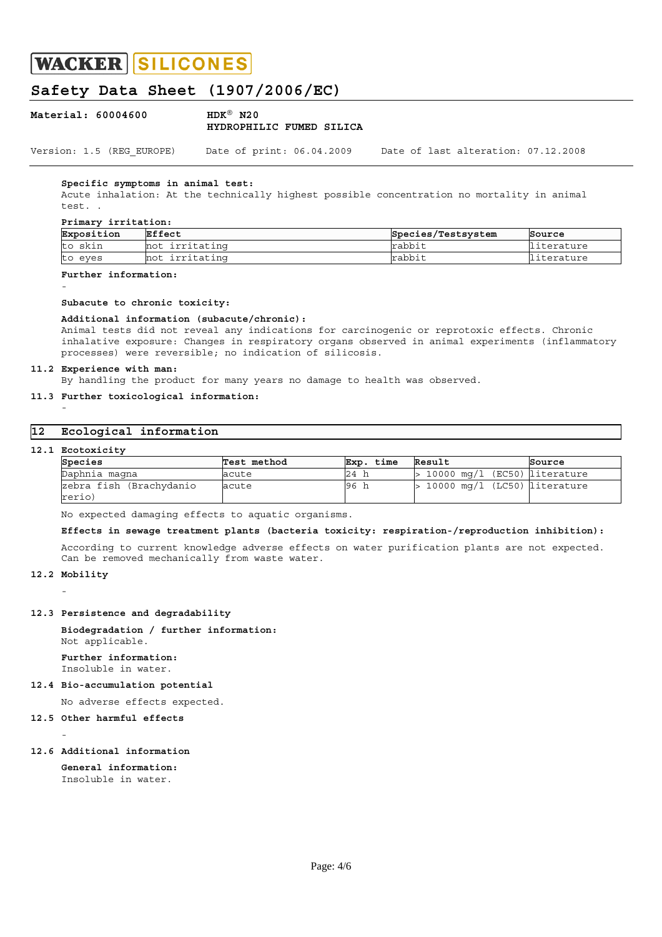# **Safety Data Sheet (1907/2006/EC)**

| Material: 60004600 | $HDK^{\circledR}$ N20    |  |  |
|--------------------|--------------------------|--|--|
|                    | HYDROPHILIC FUMED SILICA |  |  |
|                    |                          |  |  |

Version: 1.5 (REG\_EUROPE) Date of print: 06.04.2009 Date of last alteration: 07.12.2008

### **Specific symptoms in animal test:**

 Acute inhalation: At the technically highest possible concentration no mortality in animal test. .

#### **Primary irritation:**

| Exposition         | Effect            | Species/Testsystem | Source   |
|--------------------|-------------------|--------------------|----------|
| skin<br>tc         | irritating<br>not | rabbit             | terature |
| eves<br><b>ILC</b> | irritating<br>not | rabbit             | terature |

# **Further information:**

#### **Subacute to chronic toxicity:**

#### **Additional information (subacute/chronic):**

 Animal tests did not reveal any indications for carcinogenic or reprotoxic effects. Chronic inhalative exposure: Changes in respiratory organs observed in animal experiments (inflammatory processes) were reversible; no indication of silicosis.

#### **11.2 Experience with man:**

By handling the product for many years no damage to health was observed.

# **11.3 Further toxicological information:**

# **12 Ecological information**

#### **12.1 Ecotoxicity**

 $\sim$  -  $\sim$   $-$ 

 $\sim$  -  $\sim$   $-$ 

| Species                           | Test method | . time<br>Exp. | Result                           | Source |
|-----------------------------------|-------------|----------------|----------------------------------|--------|
| Daphnia magna                     | acute       | 24             | $>$ 10000 mq/l (EC50) literature |        |
| zebra fish (Brachydanio<br>rerio) | acute       | 96             | $> 10000$ mq/l (LC50) literature |        |

No expected damaging effects to aquatic organisms.

#### **Effects in sewage treatment plants (bacteria toxicity: respiration-/reproduction inhibition):**

 According to current knowledge adverse effects on water purification plants are not expected. Can be removed mechanically from waste water.

#### **12.2 Mobility**

 $\sim$  -  $\sim$   $-$ 

 $\sim$  -  $\sim$   $-$ 

#### **12.3 Persistence and degradability**

**Biodegradation / further information:** Not applicable.

#### **Further information:** Insoluble in water.

#### **12.4 Bio-accumulation potential**

No adverse effects expected.

#### **12.5 Other harmful effects**

#### **12.6 Additional information**

**General information:** Insoluble in water.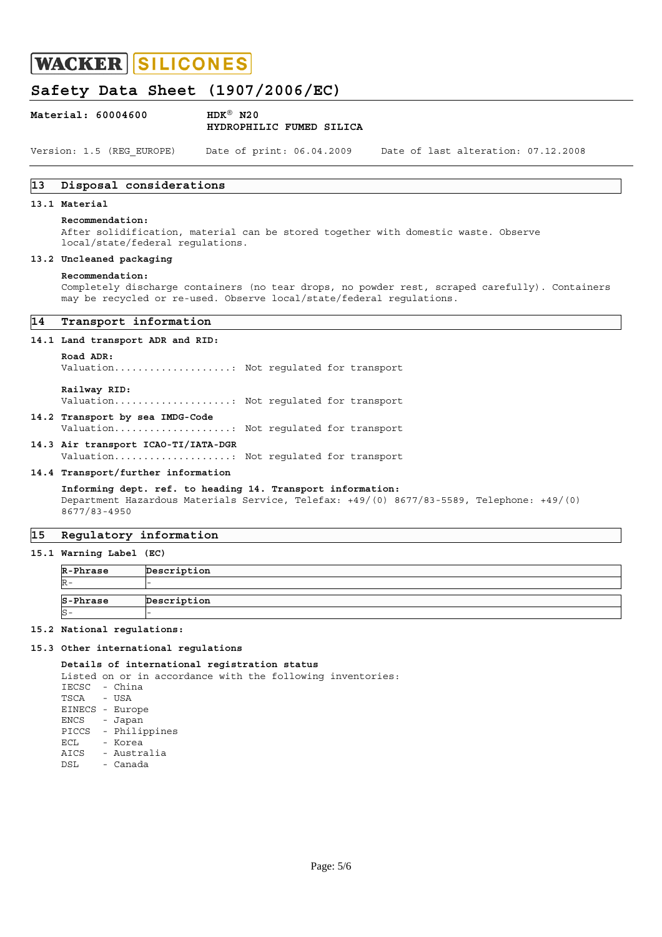# **Safety Data Sheet (1907/2006/EC)**

| Material: 60004600 | $HDK^{\circledR}$ N20 |                          |  |  |
|--------------------|-----------------------|--------------------------|--|--|
|                    |                       | HYDROPHILIC FUMED SILICA |  |  |
|                    |                       |                          |  |  |

Version: 1.5 (REG\_EUROPE) Date of print: 06.04.2009 Date of last alteration: 07.12.2008

# **13 Disposal considerations**

# **13.1 Material**

#### **Recommendation:**

 After solidification, material can be stored together with domestic waste. Observe local/state/federal regulations.

### **13.2 Uncleaned packaging**

#### **Recommendation:**

 Completely discharge containers (no tear drops, no powder rest, scraped carefully). Containers may be recycled or re-used. Observe local/state/federal regulations.

# **14 Transport information**

#### **14.1 Land transport ADR and RID:**

#### **Road ADR:**

Valuation....................: Not regulated for transport

 **Railway RID:**

Valuation....................: Not regulated for transport

**14.2 Transport by sea IMDG-Code** Valuation....................: Not regulated for transport

**14.3 Air transport ICAO-TI/IATA-DGR** Valuation....................: Not regulated for transport

#### **14.4 Transport/further information**

**Informing dept. ref. to heading 14. Transport information:** Department Hazardous Materials Service, Telefax: +49/(0) 8677/83-5589, Telephone: +49/(0) 8677/83-4950

## **15 Regulatory information**

**15.1 Warning Label (EC)** 

| R-Phrase | Description |
|----------|-------------|
|          |             |
|          |             |
| S-Phrase | Description |

### **15.2 National regulations:**

#### **15.3 Other international regulations**

#### **Details of international registration status**

Listed on or in accordance with the following inventories: IECSC - China TSCA - USA EINECS - Europe ENCS - Japan PICCS - Philippines ECL - Korea AICS - Australia DSL - Canada